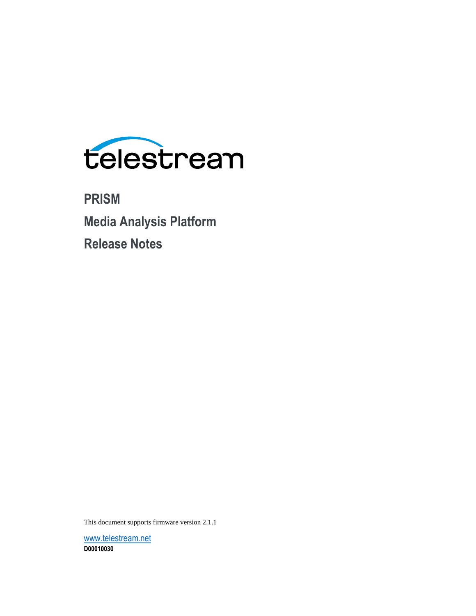

**PRISM Media Analysis Platform Release Notes**

This document supports firmware version 2.1.1

[www.telestream.net](http://www.telestream.net/) **D00010030**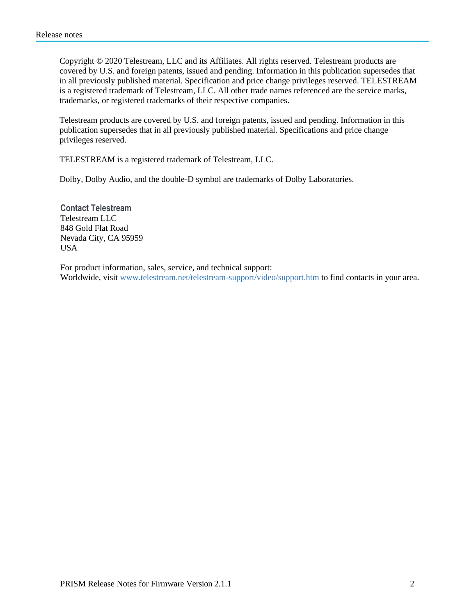Copyright © 2020 Telestream, LLC and its Affiliates. All rights reserved. Telestream products are covered by U.S. and foreign patents, issued and pending. Information in this publication supersedes that in all previously published material. Specification and price change privileges reserved. TELESTREAM is a registered trademark of Telestream, LLC. All other trade names referenced are the service marks, trademarks, or registered trademarks of their respective companies.

Telestream products are covered by U.S. and foreign patents, issued and pending. Information in this publication supersedes that in all previously published material. Specifications and price change privileges reserved.

TELESTREAM is a registered trademark of Telestream, LLC.

Dolby, Dolby Audio, and the double-D symbol are trademarks of Dolby Laboratories.

**Contact Telestream** Telestream LLC 848 Gold Flat Road Nevada City, CA 95959 USA

For product information, sales, service, and technical support: Worldwide, visit [www.telestream.net/telestream-support/video/support.htm](http://www.telestream.net/telestream-support/video/support.htm) to find contacts in your area.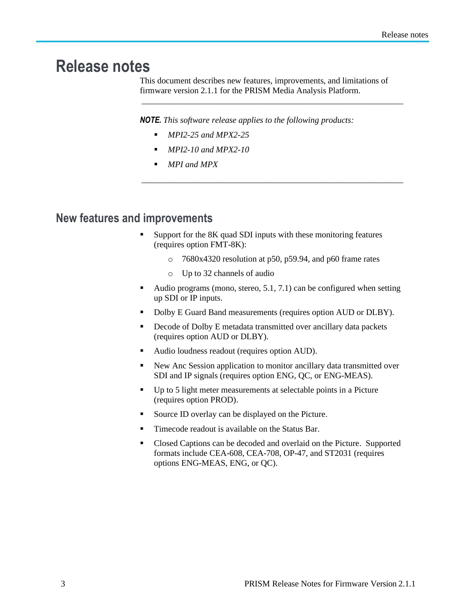## **Release notes**

This document describes new features, improvements, and limitations of firmware version 2.1.1 for the PRISM Media Analysis Platform.

\_\_\_\_\_\_\_\_\_\_\_\_\_\_\_\_\_\_\_\_\_\_\_\_\_\_\_\_\_\_\_\_\_\_\_\_\_\_\_\_\_\_\_\_\_\_\_\_\_\_\_\_\_\_\_\_\_\_\_\_\_

*\_\_\_\_\_\_\_\_\_\_\_\_\_\_\_\_\_\_\_\_\_\_\_\_\_\_\_\_\_\_\_\_\_\_\_\_\_\_\_\_\_\_\_\_\_\_\_\_\_\_\_\_\_\_\_\_\_\_\_\_\_*

*NOTE. This software release applies to the following products:* 

- *MPI2-25 and MPX2-25*
- *MPI2-10 and MPX2-10*
- *MPI and MPX*

## **New features and improvements**

- Support for the 8K quad SDI inputs with these monitoring features (requires option FMT-8K):
	- o 7680x4320 resolution at p50, p59.94, and p60 frame rates
	- o Up to 32 channels of audio
- Audio programs (mono, stereo,  $5.1$ ,  $7.1$ ) can be configured when setting up SDI or IP inputs.
- Dolby E Guard Band measurements (requires option AUD or DLBY).
- Decode of Dolby E metadata transmitted over ancillary data packets (requires option AUD or DLBY).
- Audio loudness readout (requires option AUD).
- New Anc Session application to monitor ancillary data transmitted over SDI and IP signals (requires option ENG, QC, or ENG-MEAS).
- Up to 5 light meter measurements at selectable points in a Picture (requires option PROD).
- Source ID overlay can be displayed on the Picture.
- Timecode readout is available on the Status Bar.
- Closed Captions can be decoded and overlaid on the Picture. Supported formats include CEA-608, CEA-708, OP-47, and ST2031 (requires options ENG-MEAS, ENG, or QC).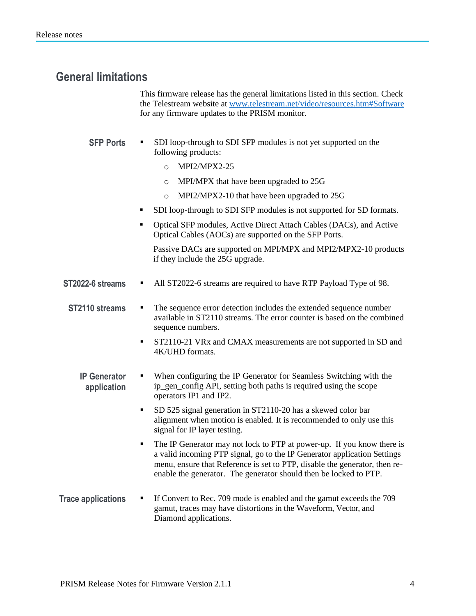## **General limitations**

This firmware release has the general limitations listed in this section. Check the Telestream website at [www.telestream.net/video/resources.htm#Software](http://www.telestream.net/video/resources.htm#Software) for any firmware updates to the PRISM monitor.

- **SFP** Ports **■** SDI loop-through to SDI SFP modules is not yet supported on the following products:
	- o MPI2/MPX2-25
	- o MPI/MPX that have been upgraded to 25G
	- o MPI2/MPX2-10 that have been upgraded to 25G
	- SDI loop-through to SDI SFP modules is not supported for SD formats.
	- Optical SFP modules, Active Direct Attach Cables (DACs), and Active Optical Cables (AOCs) are supported on the SFP Ports.

Passive DACs are supported on MPI/MPX and MPI2/MPX2-10 products if they include the 25G upgrade.

**ST2022-6 streams** • All ST2022-6 streams are required to have RTP Payload Type of 98.

**ST2110** streams **.** The sequence error detection includes the extended sequence number available in ST2110 streams. The error counter is based on the combined sequence numbers.

- **•** ST2110-21 VRx and CMAX measurements are not supported in SD and 4K/UHD formats.
- **IP Generator application** When configuring the IP Generator for Seamless Switching with the ip\_gen\_config API, setting both paths is required using the scope operators IP1 and IP2.
	- SD 525 signal generation in ST2110-20 has a skewed color bar alignment when motion is enabled. It is recommended to only use this signal for IP layer testing.
	- The IP Generator may not lock to PTP at power-up. If you know there is a valid incoming PTP signal, go to the IP Generator application Settings menu, ensure that Reference is set to PTP, disable the generator, then reenable the generator. The generator should then be locked to PTP.
- **Trace applications If Convert to Rec. 709 mode is enabled and the gamut exceeds the 709** gamut, traces may have distortions in the Waveform, Vector, and Diamond applications.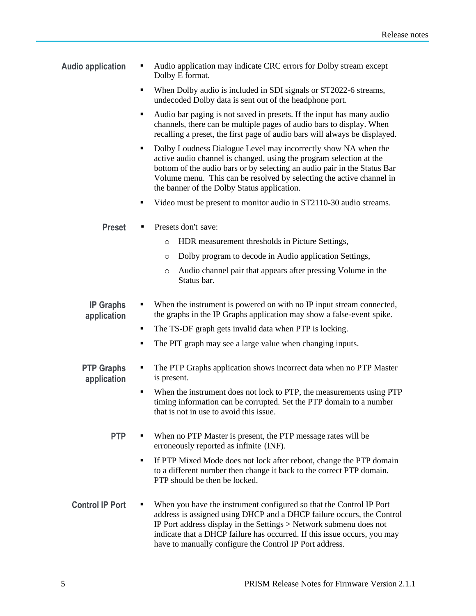- **Audio application** Audio application may indicate CRC errors for Dolby stream except Dolby E format.
	- When Dolby audio is included in SDI signals or ST2022-6 streams, undecoded Dolby data is sent out of the headphone port.
	- Audio bar paging is not saved in presets. If the input has many audio channels, there can be multiple pages of audio bars to display. When recalling a preset, the first page of audio bars will always be displayed.
	- Dolby Loudness Dialogue Level may incorrectly show NA when the active audio channel is changed, using the program selection at the bottom of the audio bars or by selecting an audio pair in the Status Bar Volume menu. This can be resolved by selecting the active channel in the banner of the Dolby Status application.
	- Video must be present to monitor audio in ST2110-30 audio streams.
	- **Preset ■** Presets don't save:
		- o HDR measurement thresholds in Picture Settings,
		- o Dolby program to decode in Audio application Settings,
		- o Audio channel pair that appears after pressing Volume in the Status bar.
	- **IP Graphs application** When the instrument is powered on with no IP input stream connected, the graphs in the IP Graphs application may show a false-event spike.
		- The TS-DF graph gets invalid data when PTP is locking.
		- The PIT graph may see a large value when changing inputs.
	- **PTP Graphs application • The PTP Graphs application shows incorrect data when no PTP Master** is present.
		- When the instrument does not lock to PTP, the measurements using PTP timing information can be corrupted. Set the PTP domain to a number that is not in use to avoid this issue.
		- **PTP**  $\bullet$  When no PTP Master is present, the PTP message rates will be erroneously reported as infinite (INF).
			- If PTP Mixed Mode does not lock after reboot, change the PTP domain to a different number then change it back to the correct PTP domain. PTP should be then be locked.
	- **Control IP Port**  $\blacksquare$  When you have the instrument configured so that the Control IP Port address is assigned using DHCP and a DHCP failure occurs, the Control IP Port address display in the Settings > Network submenu does not indicate that a DHCP failure has occurred. If this issue occurs, you may have to manually configure the Control IP Port address.